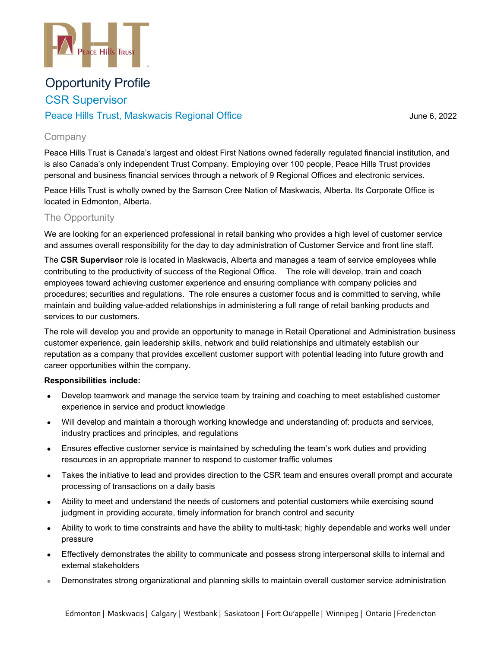

# **Opportunity Profile CSR Supervisor**

# Peace Hills Trust, Maskwacis Regional Office

June 6, 2022

### Company

Peace Hills Trust is Canada's largest and oldest First Nations owned federally regulated financial institution, and is also Canada's only independent Trust Company. Employing over 100 people, Peace Hills Trust provides personal and business financial services through a network of 9 Regional Offices and electronic services.

Peace Hills Trust is wholly owned by the Samson Cree Nation of Maskwacis, Alberta. Its Corporate Office is located in Edmonton, Alberta.

# The Opportunity

We are looking for an experienced professional in retail banking who provides a high level of customer service and assumes overall responsibility for the day to day administration of Customer Service and front line staff.

The CSR Supervisor role is located in Maskwacis, Alberta and manages a team of service employees while contributing to the productivity of success of the Regional Office. The role will develop, train and coach employees toward achieving customer experience and ensuring compliance with company policies and procedures; securities and regulations. The role ensures a customer focus and is committed to serving, while maintain and building value-added relationships in administering a full range of retail banking products and services to our customers.

The role will develop you and provide an opportunity to manage in Retail Operational and Administration business customer experience, gain leadership skills, network and build relationships and ultimately establish our reputation as a company that provides excellent customer support with potential leading into future growth and career opportunities within the company.

#### Responsibilities include:

- Develop teamwork and manage the service team by training and coaching to meet established customer experience in service and product knowledge
- Will develop and maintain a thorough working knowledge and understanding of: products and services, industry practices and principles, and regulations
- Ensures effective customer service is maintained by scheduling the team's work duties and providing resources in an appropriate manner to respond to customer traffic volumes
- Takes the initiative to lead and provides direction to the CSR team and ensures overall prompt and accurate  $\bullet$ processing of transactions on a daily basis
- Ability to meet and understand the needs of customers and potential customers while exercising sound judgment in providing accurate, timely information for branch control and security
- Ability to work to time constraints and have the ability to multi-task; highly dependable and works well under pressure
- Effectively demonstrates the ability to communicate and possess strong interpersonal skills to internal and external stakeholders
- Demonstrates strong organizational and planning skills to maintain overall customer service administration